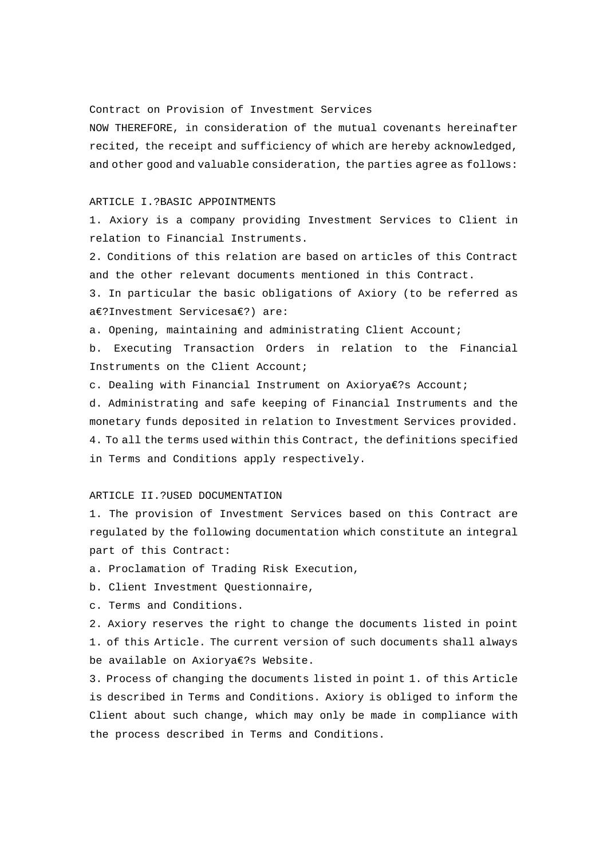Contract on Provision of Investment Services

NOW THEREFORE, in consideration of the mutual covenants hereinafter recited, the receipt and sufficiency of which are hereby acknowledged, and other good and valuable consideration, the parties agree as follows:

#### ARTICLE I.?BASIC APPOINTMENTS

1. Axiory is a company providing Investment Services to Client in relation to Financial Instruments.

2. Conditions of this relation are based on articles of this Contract and the other relevant documents mentioned in this Contract.

3. In particular the basic obligations of Axiory (to be referred as a€?Investment Servicesa€?) are:

a. Opening, maintaining and administrating Client Account;

b. Executing Transaction Orders in relation to the Financial Instruments on the Client Account;

c. Dealing with Financial Instrument on Axiorya€?s Account;

d. Administrating and safe keeping of Financial Instruments and the monetary funds deposited in relation to Investment Services provided. 4. To all the terms used within this Contract, the definitions specified in Terms and Conditions apply respectively.

# ARTICLE II.?USED DOCUMENTATION

1. The provision of Investment Services based on this Contract are regulated by the following documentation which constitute an integral part of this Contract:

a. Proclamation of Trading Risk Execution,

b. Client Investment Questionnaire,

c. Terms and Conditions.

2. Axiory reserves the right to change the documents listed in point 1. of this Article. The current version of such documents shall always be available on Axiorya€?s Website.

3. Process of changing the documents listed in point 1. of this Article is described in Terms and Conditions. Axiory is obliged to inform the Client about such change, which may only be made in compliance with the process described in Terms and Conditions.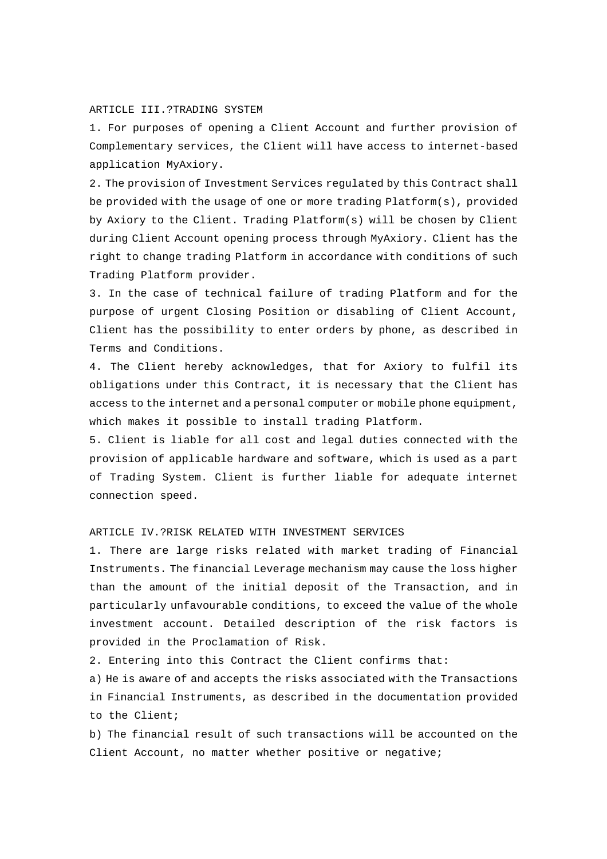### ARTICLE III.?TRADING SYSTEM

1. For purposes of opening a Client Account and further provision of Complementary services, the Client will have access to internet-based application MyAxiory.

2. The provision of Investment Services regulated by this Contract shall be provided with the usage of one or more trading Platform(s), provided by Axiory to the Client. Trading Platform(s) will be chosen by Client during Client Account opening process through MyAxiory. Client has the right to change trading Platform in accordance with conditions of such Trading Platform provider.

3. In the case of technical failure of trading Platform and for the purpose of urgent Closing Position or disabling of Client Account, Client has the possibility to enter orders by phone, as described in Terms and Conditions.

4. The Client hereby acknowledges, that for Axiory to fulfil its obligations under this Contract, it is necessary that the Client has access to the internet and a personal computer or mobile phone equipment, which makes it possible to install trading Platform.

5. Client is liable for all cost and legal duties connected with the provision of applicable hardware and software, which is used as a part of Trading System. Client is further liable for adequate internet connection speed.

## ARTICLE IV.?RISK RELATED WITH INVESTMENT SERVICES

1. There are large risks related with market trading of Financial Instruments. The financial Leverage mechanism may cause the loss higher than the amount of the initial deposit of the Transaction, and in particularly unfavourable conditions, to exceed the value of the whole investment account. Detailed description of the risk factors is provided in the Proclamation of Risk.

2. Entering into this Contract the Client confirms that:

a) He is aware of and accepts the risks associated with the Transactions in Financial Instruments, as described in the documentation provided to the Client;

b) The financial result of such transactions will be accounted on the Client Account, no matter whether positive or negative;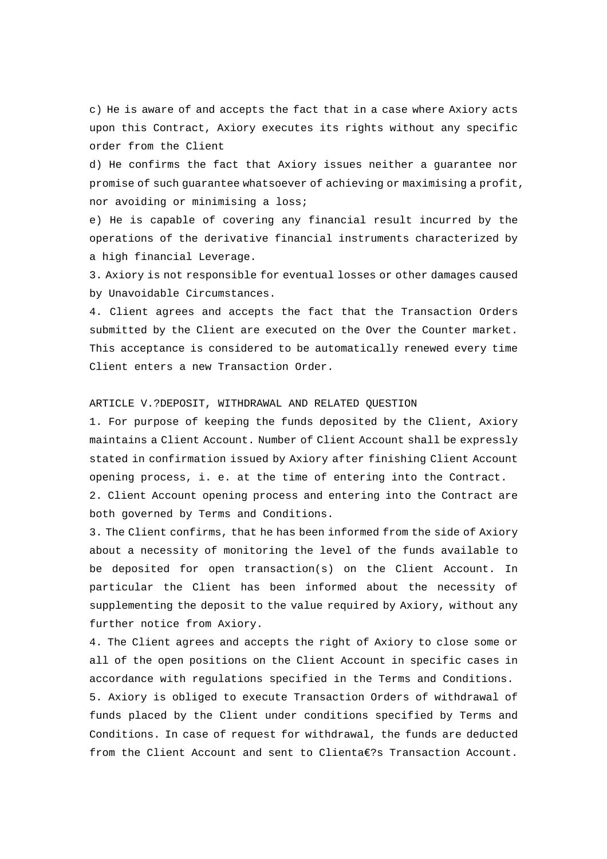c) He is aware of and accepts the fact that in a case where Axiory acts upon this Contract, Axiory executes its rights without any specific order from the Client

d) He confirms the fact that Axiory issues neither a guarantee nor promise of such guarantee whatsoever of achieving or maximising a profit, nor avoiding or minimising a loss;

e) He is capable of covering any financial result incurred by the operations of the derivative financial instruments characterized by a high financial Leverage.

3. Axiory is not responsible for eventual losses or other damages caused by Unavoidable Circumstances.

4. Client agrees and accepts the fact that the Transaction Orders submitted by the Client are executed on the Over the Counter market. This acceptance is considered to be automatically renewed every time Client enters a new Transaction Order.

### ARTICLE V.?DEPOSIT, WITHDRAWAL AND RELATED QUESTION

1. For purpose of keeping the funds deposited by the Client, Axiory maintains a Client Account. Number of Client Account shall be expressly stated in confirmation issued by Axiory after finishing Client Account opening process, i. e. at the time of entering into the Contract.

2. Client Account opening process and entering into the Contract are both governed by Terms and Conditions.

3. The Client confirms, that he has been informed from the side of Axiory about a necessity of monitoring the level of the funds available to be deposited for open transaction(s) on the Client Account. In particular the Client has been informed about the necessity of supplementing the deposit to the value required by Axiory, without any further notice from Axiory.

4. The Client agrees and accepts the right of Axiory to close some or all of the open positions on the Client Account in specific cases in accordance with regulations specified in the Terms and Conditions.

5. Axiory is obliged to execute Transaction Orders of withdrawal of funds placed by the Client under conditions specified by Terms and Conditions. In case of request for withdrawal, the funds are deducted from the Client Account and sent to Clienta€?s Transaction Account.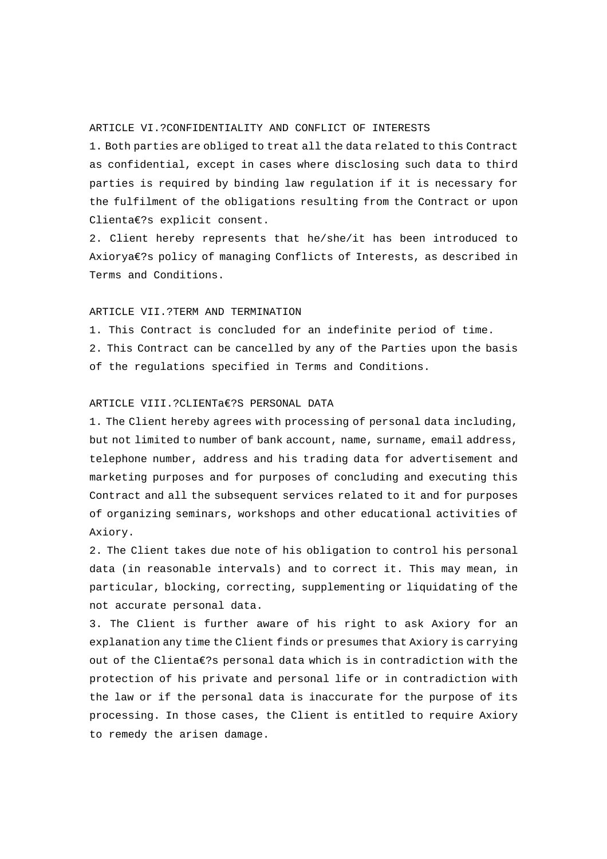# ARTICLE VI.?CONFIDENTIALITY AND CONFLICT OF INTERESTS

1. Both parties are obliged to treat all the data related to this Contract as confidential, except in cases where disclosing such data to third parties is required by binding law regulation if it is necessary for the fulfilment of the obligations resulting from the Contract or upon Clienta€?s explicit consent.

2. Client hereby represents that he/she/it has been introduced to Axiorya€?s policy of managing Conflicts of Interests, as described in Terms and Conditions.

#### ARTICLE VII.?TERM AND TERMINATION

1. This Contract is concluded for an indefinite period of time.

2. This Contract can be cancelled by any of the Parties upon the basis of the regulations specified in Terms and Conditions.

#### ARTICLE VIII.?CLIENTa€?S PERSONAL DATA

1. The Client hereby agrees with processing of personal data including, but not limited to number of bank account, name, surname, email address, telephone number, address and his trading data for advertisement and marketing purposes and for purposes of concluding and executing this Contract and all the subsequent services related to it and for purposes of organizing seminars, workshops and other educational activities of Axiory.

2. The Client takes due note of his obligation to control his personal data (in reasonable intervals) and to correct it. This may mean, in particular, blocking, correcting, supplementing or liquidating of the not accurate personal data.

3. The Client is further aware of his right to ask Axiory for an explanation any time the Client finds or presumes that Axiory is carrying out of the Clienta€?s personal data which is in contradiction with the protection of his private and personal life or in contradiction with the law or if the personal data is inaccurate for the purpose of its processing. In those cases, the Client is entitled to require Axiory to remedy the arisen damage.